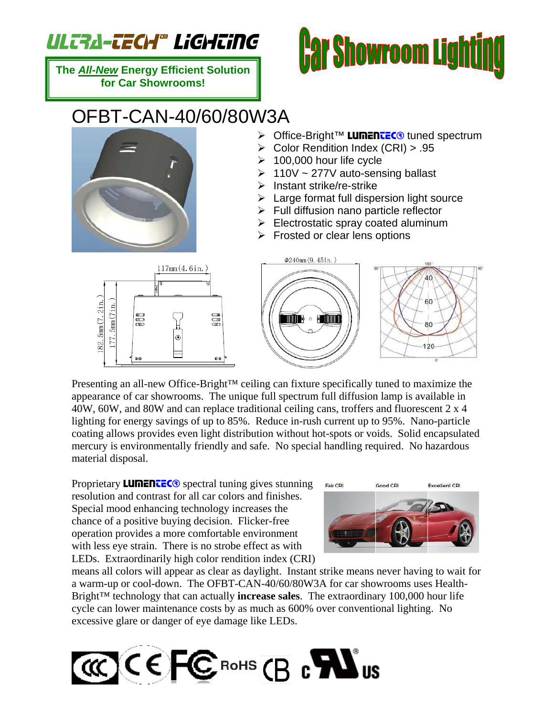## ULTRA-TECH® LiGHTiNG

**The** *All-New* **Energy Efficient Solution for Car Showrooms!** 

## *Car Showroom Lighting*

## OFBT-CAN-40/60/80W3A

- > Office-Bright™ LUMENTEC<sup>®</sup> tuned spectrum
- ¾ Color Rendition Index (CRI) > .95
- $\geq 100,000$  hour life cycle
- $\geq 110V \sim 277V$  auto-sensing ballast
- $\triangleright$  Instant strike/re-strike
- $\triangleright$  Large format full dispersion light source
- $\triangleright$  Full diffusion nano particle reflector
- $\triangleright$  Electrostatic spray coated aluminum
- $\triangleright$  Frosted or clear lens options



Presenting an all-new Office-Bright™ ceiling can fixture specifically tuned to maximize the appearance of car showrooms. The unique full spectrum full diffusion lamp is available in 40W, 60W, and 80W and can replace traditional ceiling cans, troffers and fluorescent 2 x 4 lighting for energy savings of up to 85%. Reduce in-rush current up to 95%. Nano-particle coating allows provides even light distribution without hot-spots or voids. Solid encapsulated mercury is environmentally friendly and safe. No special handling required. No hazardous material disposal.

Proprietary **LUMENTEC** $\odot$  spectral tuning gives stunning resolution and contrast for all car colors and finishes. Special mood enhancing technology increases the chance of a positive buying decision. Flicker-free operation provides a more comfortable environment with less eye strain. There is no strobe effect as with LEDs. Extraordinarily high color rendition index (CRI)



means all colors will appear as clear as daylight. Instant strike means never having to wait for a warm-up or cool-down. The OFBT-CAN-40/60/80W3A for car showrooms uses Health-Bright™ technology that can actually **increase sales**. The extraordinary 100,000 hour life cycle can lower maintenance costs by as much as 600% over conventional lighting. No excessive glare or danger of eye damage like LEDs.